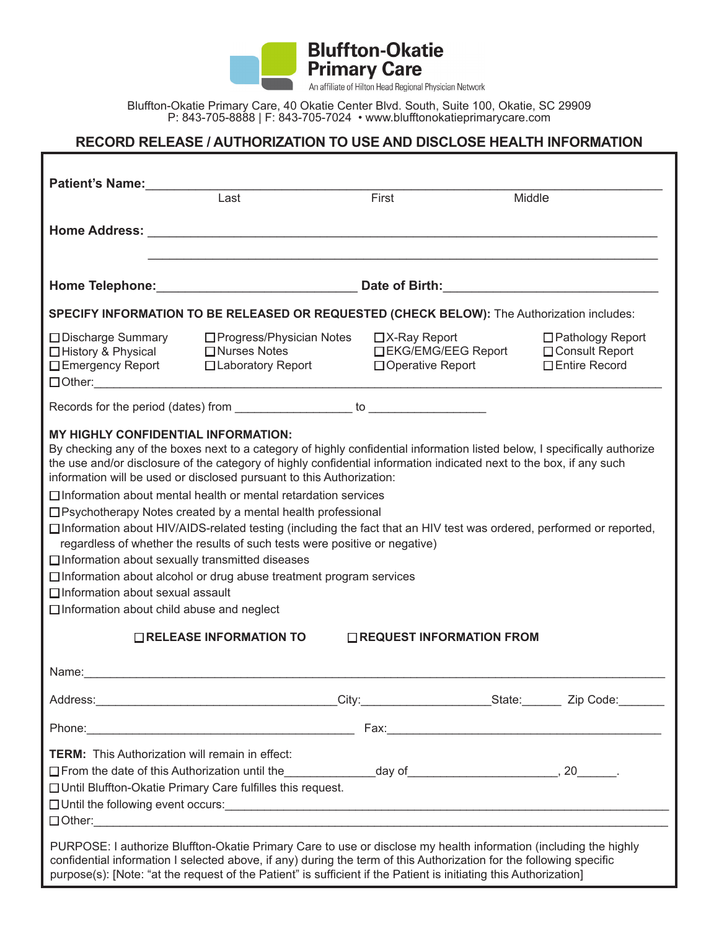**Primary Care** 

**Bluffton-Okatie** 

An affiliate of Hilton Head Regional Physician Network

Bluffton-Okatie Primary Care, 40 Okatie Center Blvd. South, Suite 100, Okatie, SC 29909 P: 843-705-8888 | F: 843-705-7024 • www.blufftonokatieprimarycare.com

## **RECORD RELEASE / AUTHORIZATION TO USE AND DISCLOSE HEALTH INFORMATION**

| Patient's Name:<br>Last                                                                                                                                                                                                                                                                                                                                                                                                                                                                                                                                                             |                                                                                                                                                                                                                                | First         | Middle                                    |                                                           |
|-------------------------------------------------------------------------------------------------------------------------------------------------------------------------------------------------------------------------------------------------------------------------------------------------------------------------------------------------------------------------------------------------------------------------------------------------------------------------------------------------------------------------------------------------------------------------------------|--------------------------------------------------------------------------------------------------------------------------------------------------------------------------------------------------------------------------------|---------------|-------------------------------------------|-----------------------------------------------------------|
|                                                                                                                                                                                                                                                                                                                                                                                                                                                                                                                                                                                     |                                                                                                                                                                                                                                |               |                                           |                                                           |
|                                                                                                                                                                                                                                                                                                                                                                                                                                                                                                                                                                                     |                                                                                                                                                                                                                                |               |                                           |                                                           |
| SPECIFY INFORMATION TO BE RELEASED OR REQUESTED (CHECK BELOW): The Authorization includes:                                                                                                                                                                                                                                                                                                                                                                                                                                                                                          |                                                                                                                                                                                                                                |               |                                           |                                                           |
| □ Discharge Summary<br>□ History & Physical<br>□ Emergency Report                                                                                                                                                                                                                                                                                                                                                                                                                                                                                                                   | □ Progress/Physician Notes<br>$\Box$ Nurses Notes<br>□ Laboratory Report                                                                                                                                                       | ロX-Ray Report | □EKG/EMG/EEG Report<br>□ Operative Report | □ Pathology Report<br>□ Consult Report<br>□ Entire Record |
|                                                                                                                                                                                                                                                                                                                                                                                                                                                                                                                                                                                     |                                                                                                                                                                                                                                |               |                                           |                                                           |
| <b>MY HIGHLY CONFIDENTIAL INFORMATION:</b><br>By checking any of the boxes next to a category of highly confidential information listed below, I specifically authorize<br>the use and/or disclosure of the category of highly confidential information indicated next to the box, if any such<br>information will be used or disclosed pursuant to this Authorization:                                                                                                                                                                                                             |                                                                                                                                                                                                                                |               |                                           |                                                           |
| $\Box$ Information about mental health or mental retardation services<br>□ Psychotherapy Notes created by a mental health professional<br>□ Information about HIV/AIDS-related testing (including the fact that an HIV test was ordered, performed or reported,<br>regardless of whether the results of such tests were positive or negative)<br>$\Box$ Information about sexually transmitted diseases<br>$\Box$ Information about alcohol or drug abuse treatment program services<br>$\Box$ Information about sexual assault<br>$\Box$ Information about child abuse and neglect |                                                                                                                                                                                                                                |               |                                           |                                                           |
| $\Box$ RELEASE INFORMATION TO<br>□REQUEST INFORMATION FROM                                                                                                                                                                                                                                                                                                                                                                                                                                                                                                                          |                                                                                                                                                                                                                                |               |                                           |                                                           |
|                                                                                                                                                                                                                                                                                                                                                                                                                                                                                                                                                                                     |                                                                                                                                                                                                                                |               |                                           |                                                           |
|                                                                                                                                                                                                                                                                                                                                                                                                                                                                                                                                                                                     |                                                                                                                                                                                                                                |               |                                           |                                                           |
|                                                                                                                                                                                                                                                                                                                                                                                                                                                                                                                                                                                     | Phone: 2008. 2009. [2010] Phone: 2010. [2010] Phone: 2010. [2010] Phone: 2010. [2010] Phone: 2010. [2010] Phone: 2010. [2010] Phone: 2010. [2010] Phone: 2010. [2010] Phone: 2010. [2010] Phone: 2010. [2010] Phone: 2010. [20 |               |                                           |                                                           |
| <b>TERM:</b> This Authorization will remain in effect:                                                                                                                                                                                                                                                                                                                                                                                                                                                                                                                              | □ From the date of this Authorization until the_________________day of_____________________________, 20________<br>□ Until Bluffton-Okatie Primary Care fulfilles this request.                                                |               |                                           |                                                           |
| PURPOSE: I authorize Bluffton-Okatie Primary Care to use or disclose my health information (including the highly<br>confidential information I selected above, if any) during the term of this Authorization for the following specific<br>purpose(s): [Note: "at the request of the Patient" is sufficient if the Patient is initiating this Authorization]                                                                                                                                                                                                                        |                                                                                                                                                                                                                                |               |                                           |                                                           |